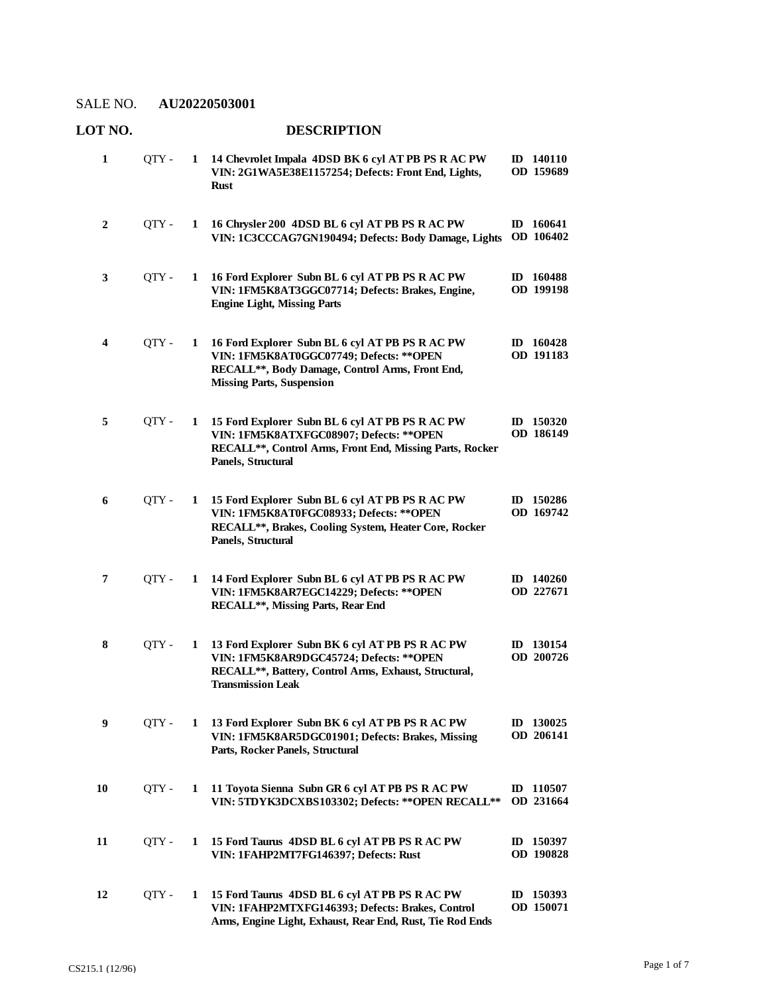| 1  | QTY - |              | 1 14 Chevrolet Impala 4DSD BK 6 cyl AT PB PS R AC PW<br>VIN: 2G1WA5E38E1157254; Defects: Front End, Lights,<br><b>Rust</b>                                                         | ID 140110<br>OD 159689        |
|----|-------|--------------|------------------------------------------------------------------------------------------------------------------------------------------------------------------------------------|-------------------------------|
| 2  | OTY - | 1            | 16 Chrysler 200 4DSD BL 6 cyl AT PB PS R AC PW<br>VIN: 1C3CCCAG7GN190494; Defects: Body Damage, Lights                                                                             | ID 160641<br>OD 106402        |
| 3  | QTY - | $\mathbf 1$  | 16 Ford Explorer Subn BL 6 cyl AT PB PS R AC PW<br>VIN: 1FM5K8AT3GGC07714; Defects: Brakes, Engine,<br><b>Engine Light, Missing Parts</b>                                          | ID 160488<br>OD 199198        |
| 4  | QTY - | $\mathbf{1}$ | 16 Ford Explorer Subn BL 6 cyl AT PB PS R AC PW<br>VIN: 1FM5K8AT0GGC07749; Defects: ** OPEN<br>RECALL**, Body Damage, Control Arms, Front End,<br><b>Missing Parts, Suspension</b> | ID $160428$<br>OD 191183      |
| 5  | QTY - | 1            | 15 Ford Explorer Subn BL 6 cyl AT PB PS R AC PW<br>VIN: 1FM5K8ATXFGC08907; Defects: ** OPEN<br>RECALL**, Control Arms, Front End, Missing Parts, Rocker<br>Panels, Structural      | ID $150320$<br>OD 186149      |
| 6  | QTY - |              | 1 15 Ford Explorer Subn BL 6 cyl AT PB PS R AC PW<br>VIN: 1FM5K8AT0FGC08933; Defects: ** OPEN<br>RECALL**, Brakes, Cooling System, Heater Core, Rocker<br>Panels, Structural       | ID 150286<br>OD 169742        |
| 7  | QTY - | 1            | 14 Ford Explorer Subn BL 6 cyl AT PB PS R AC PW<br>VIN: 1FM5K8AR7EGC14229; Defects: ** OPEN<br>RECALL**, Missing Parts, Rear End                                                   | $ID$ 140260<br>OD 227671      |
| 8  | QTY - | 1            | 13 Ford Explorer Subn BK 6 cyl AT PB PS R AC PW<br>VIN: 1FM5K8AR9DGC45724; Defects: ** OPEN<br>RECALL**, Battery, Control Arms, Exhaust, Structural,<br><b>Transmission Leak</b>   | ID 130154<br>OD 200726        |
| 9  | QTY - |              | 1 13 Ford Explorer Subn BK 6 cyl AT PB PS R AC PW<br>VIN: 1FM5K8AR5DGC01901; Defects: Brakes, Missing<br>Parts, Rocker Panels, Structural                                          | ID 130025<br>OD 206141        |
| 10 | QTY - | 1            | 11 Toyota Sienna Subn GR 6 cyl AT PB PS R AC PW<br>VIN: 5TDYK3DCXBS103302; Defects: ** OPEN RECALL **                                                                              | ID 110507<br>OD 231664        |
| 11 | OTY - | 1            | 15 Ford Taurus 4DSD BL 6 cyl AT PB PS R AC PW<br>VIN: 1FAHP2MT7FG146397; Defects: Rust                                                                                             | ID 150397<br><b>OD 190828</b> |
| 12 | QTY - | 1            | 15 Ford Taurus 4DSD BL 6 cyl AT PB PS R AC PW<br>VIN: 1FAHP2MTXFG146393; Defects: Brakes, Control<br>Arms, Engine Light, Exhaust, Rear End, Rust, Tie Rod Ends                     | ID 150393<br>OD 150071        |

# **LOT NO. DESCRIPTION**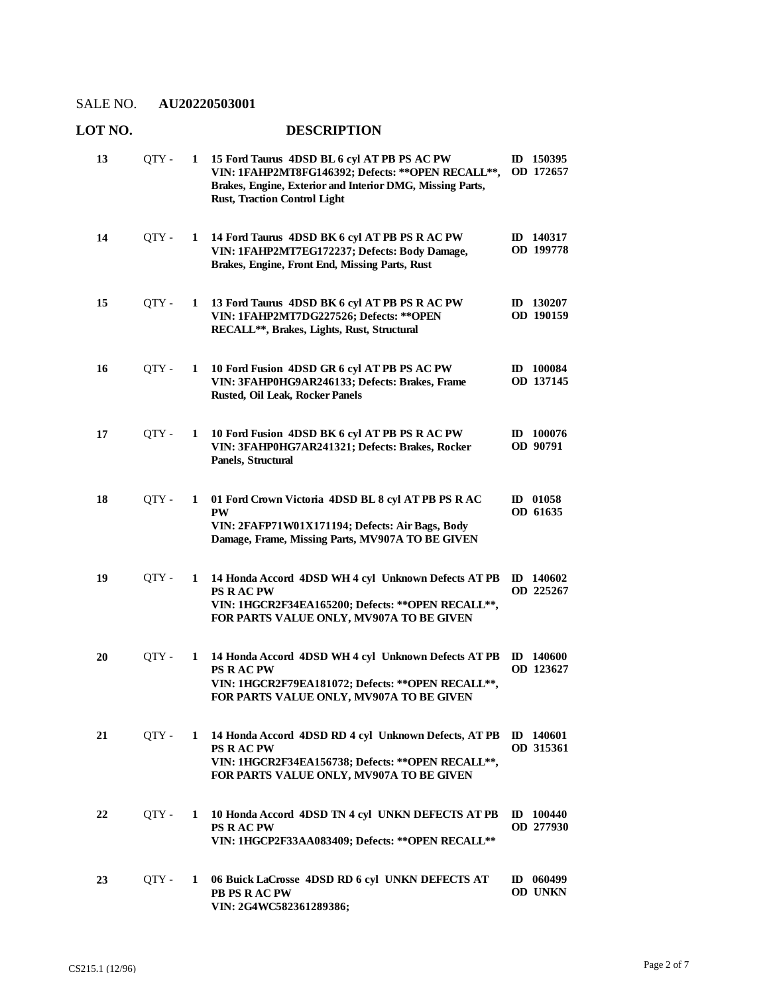### **LOT NO. DESCRIPTION**

| 13 | QTY - | 1 | 15 Ford Taurus 4DSD BL 6 cyl AT PB PS AC PW<br>VIN: 1FAHP2MT8FG146392; Defects: ** OPEN RECALL **,<br>Brakes, Engine, Exterior and Interior DMG, Missing Parts,<br><b>Rust, Traction Control Light</b> | ID 150395<br>OD 172657        |
|----|-------|---|--------------------------------------------------------------------------------------------------------------------------------------------------------------------------------------------------------|-------------------------------|
| 14 | QTY - | 1 | 14 Ford Taurus 4DSD BK 6 cyl AT PB PS R AC PW<br>VIN: 1FAHP2MT7EG172237; Defects: Body Damage,<br>Brakes, Engine, Front End, Missing Parts, Rust                                                       | ID 140317<br>OD 199778        |
| 15 | QTY - | 1 | 13 Ford Taurus 4DSD BK 6 cyl AT PB PS R AC PW<br>VIN: 1FAHP2MT7DG227526; Defects: ** OPEN<br>RECALL**, Brakes, Lights, Rust, Structural                                                                | ID 130207<br>OD 190159        |
| 16 | QTY - | 1 | 10 Ford Fusion 4DSD GR 6 cyl AT PB PS AC PW<br>VIN: 3FAHP0HG9AR246133; Defects: Brakes, Frame<br>Rusted, Oil Leak, Rocker Panels                                                                       | ID 100084<br>OD 137145        |
| 17 | OTY - | 1 | 10 Ford Fusion 4DSD BK 6 cyl AT PB PS R AC PW<br>VIN: 3FAHP0HG7AR241321; Defects: Brakes, Rocker<br>Panels, Structural                                                                                 | $ID$ 100076<br>OD 90791       |
| 18 | QTY-  | 1 | 01 Ford Crown Victoria 4DSD BL 8 cyl AT PB PS R AC<br><b>PW</b><br>VIN: 2FAFP71W01X171194; Defects: Air Bags, Body<br>Damage, Frame, Missing Parts, MV907A TO BE GIVEN                                 | ID 01058<br>OD 61635          |
| 19 | QTY - | 1 | 14 Honda Accord 4DSD WH 4 cyl Unknown Defects AT PB<br><b>PS RACPW</b><br>VIN: 1HGCR2F34EA165200; Defects: ** OPEN RECALL **,<br>FOR PARTS VALUE ONLY, MV907A TO BE GIVEN                              | ID 140602<br>OD 225267        |
| 20 | QTY-  | 1 | 14 Honda Accord 4DSD WH 4 cyl Unknown Defects AT PB<br><b>PS RACPW</b><br>VIN: 1HGCR2F79EA181072; Defects: ** OPEN RECALL **,<br>FOR PARTS VALUE ONLY, MV907A TO BE GIVEN                              | <b>ID</b> 140600<br>OD 123627 |
| 21 | QTY - | 1 | 14 Honda Accord 4DSD RD 4 cyl Unknown Defects, AT PB<br><b>PS RACPW</b><br>VIN: 1HGCR2F34EA156738; Defects: ** OPEN RECALL **,<br>FOR PARTS VALUE ONLY, MV907A TO BE GIVEN                             | ID 140601<br>OD 315361        |
| 22 | QTY - | 1 | 10 Honda Accord 4DSD TN 4 cyl UNKN DEFECTS AT PB<br><b>PS RACPW</b><br>VIN: 1HGCP2F33AA083409; Defects: ** OPEN RECALL **                                                                              | $ID$ 100440<br>OD 277930      |
| 23 | QTY - | 1 | 06 Buick LaCrosse 4DSD RD 6 cyl UNKN DEFECTS AT<br><b>PB PS RACPW</b><br>VIN: 2G4WC582361289386;                                                                                                       | ID 060499<br>OD UNKN          |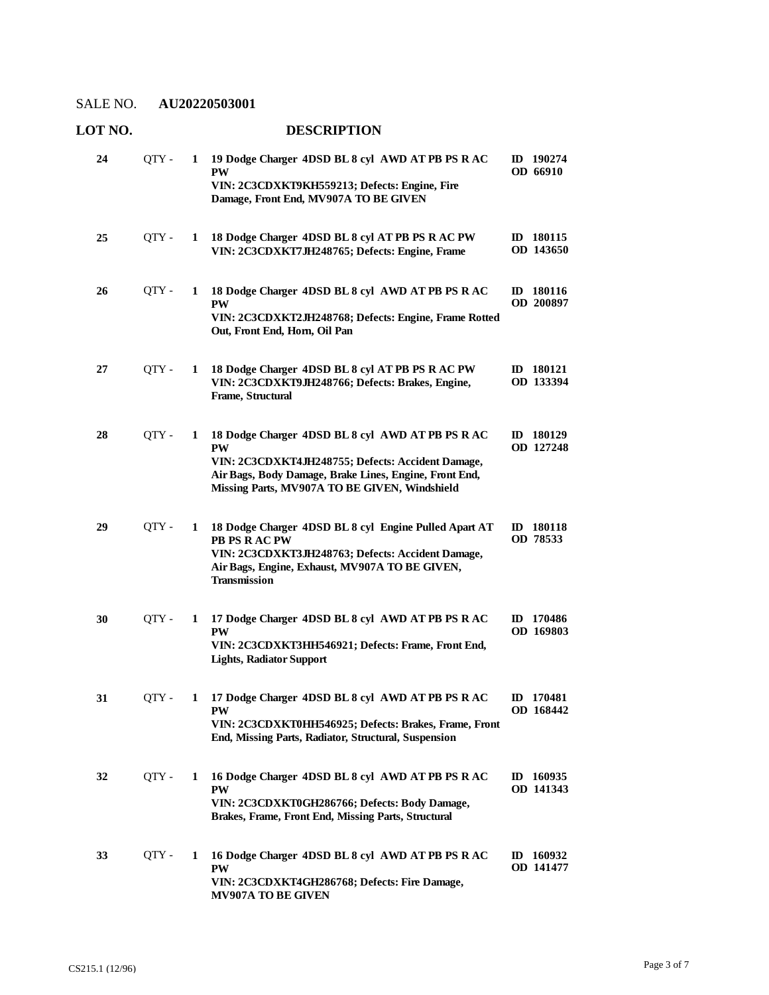#### **LOT NO. DESCRIPTION 19 Dodge Charger 4DSD BL 8 cyl AWD AT PB PS R AC**  QTY - **1 ID 190274 PW VIN: 2C3CDXKT9KH559213; Defects: Engine, Fire 24**

|    |       |   | Damage, Front End, MV907A TO BE GIVEN                                                                                                                                                                                         |                           |
|----|-------|---|-------------------------------------------------------------------------------------------------------------------------------------------------------------------------------------------------------------------------------|---------------------------|
| 25 | QTY - | 1 | 18 Dodge Charger 4DSD BL 8 cyl AT PB PS R AC PW<br>VIN: 2C3CDXKT7JH248765; Defects: Engine, Frame                                                                                                                             | ID 180115<br>OD 143650    |
| 26 | OTY - | 1 | 18 Dodge Charger 4DSD BL 8 cyl AWD AT PB PS R AC<br><b>PW</b><br>VIN: 2C3CDXKT2JH248768; Defects: Engine, Frame Rotted<br>Out, Front End, Horn, Oil Pan                                                                       | 180116<br>ID<br>OD 200897 |
| 27 | QTY - | 1 | 18 Dodge Charger 4DSD BL 8 cyl AT PB PS R AC PW<br>VIN: 2C3CDXKT9JH248766; Defects: Brakes, Engine,<br>Frame, Structural                                                                                                      | ID 180121<br>OD 133394    |
| 28 | QTY-  | 1 | 18 Dodge Charger 4DSD BL 8 cyl AWD AT PB PS R AC<br><b>PW</b><br>VIN: 2C3CDXKT4JH248755; Defects: Accident Damage,<br>Air Bags, Body Damage, Brake Lines, Engine, Front End,<br>Missing Parts, MV907A TO BE GIVEN, Windshield | ID 180129<br>OD 127248    |
| 29 | QTY - | 1 | 18 Dodge Charger 4DSD BL 8 cyl Engine Pulled Apart AT<br><b>PB PS RACPW</b><br>VIN: 2C3CDXKT3JH248763; Defects: Accident Damage,<br>Air Bags, Engine, Exhaust, MV907A TO BE GIVEN,<br><b>Transmission</b>                     | ID 180118<br>OD 78533     |
| 30 | QTY-  | 1 | 17 Dodge Charger 4DSD BL 8 cyl AWD AT PB PS R AC<br><b>PW</b><br>VIN: 2C3CDXKT3HH546921; Defects: Frame, Front End,<br><b>Lights, Radiator Support</b>                                                                        | ID 170486<br>OD 169803    |
| 31 | OTY - | 1 | 17 Dodge Charger 4DSD BL 8 cyl AWD AT PB PS R AC<br><b>PW</b><br>VIN: 2C3CDXKT0HH546925; Defects: Brakes, Frame, Front<br>End, Missing Parts, Radiator, Structural, Suspension                                                | ID 170481<br>OD 168442    |
| 32 | QTY - | 1 | 16 Dodge Charger 4DSD BL 8 cyl AWD AT PB PS R AC<br><b>PW</b><br>VIN: 2C3CDXKT0GH286766; Defects: Body Damage,<br>Brakes, Frame, Front End, Missing Parts, Structural                                                         | ID 160935<br>OD 141343    |
| 33 | QTY - | 1 | 16 Dodge Charger 4DSD BL 8 cyl AWD AT PB PS R AC<br><b>PW</b>                                                                                                                                                                 | ID 160932<br>OD 141477    |

**VIN: 2C3CDXKT4GH286768; Defects: Fire Damage,** 

**MV907A TO BE GIVEN**

**OD 66910**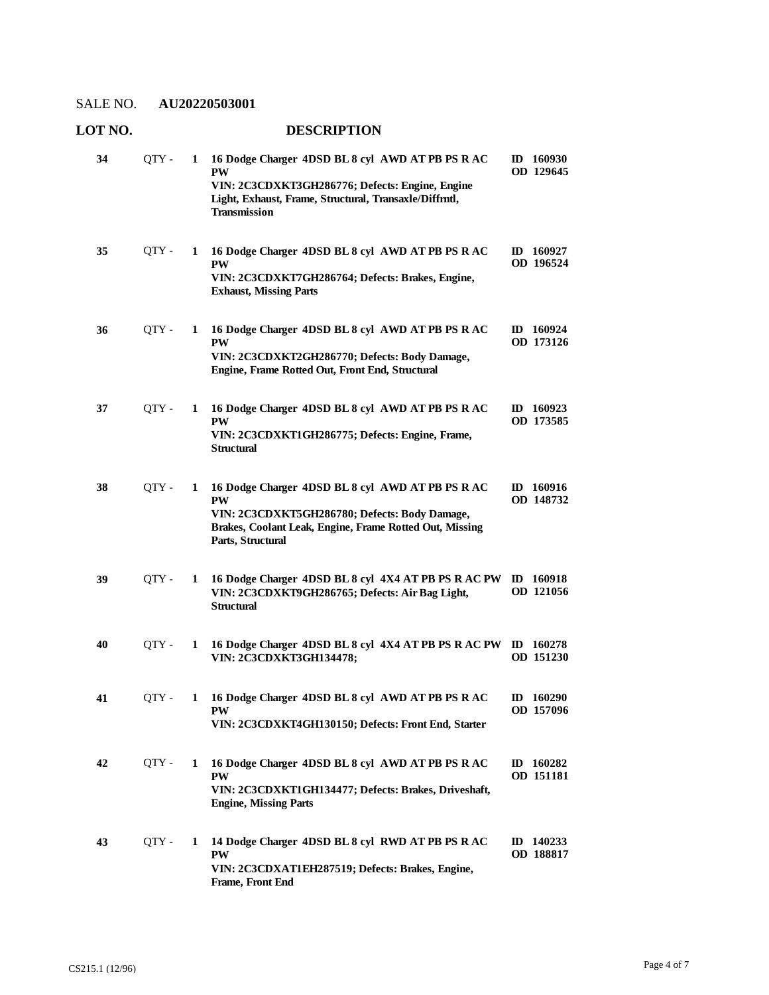### **LOT NO. DESCRIPTION**

| 34 | QTY-  | 1 | 16 Dodge Charger 4DSD BL 8 cvl AWD AT PB PS R AC<br><b>PW</b><br>VIN: 2C3CDXKT3GH286776; Defects: Engine, Engine<br>Light, Exhaust, Frame, Structural, Transaxle/Diffrntl,<br><b>Transmission</b> | ID 160930<br>OD 129645   |
|----|-------|---|---------------------------------------------------------------------------------------------------------------------------------------------------------------------------------------------------|--------------------------|
| 35 | QTY - | 1 | 16 Dodge Charger 4DSD BL 8 cyl AWD AT PB PS R AC<br><b>PW</b><br>VIN: 2C3CDXKT7GH286764; Defects: Brakes, Engine,<br><b>Exhaust, Missing Parts</b>                                                | ID $160927$<br>OD 196524 |
| 36 | QTY - | 1 | 16 Dodge Charger 4DSD BL 8 cyl AWD AT PB PS R AC<br><b>PW</b><br>VIN: 2C3CDXKT2GH286770; Defects: Body Damage,<br>Engine, Frame Rotted Out, Front End, Structural                                 | $ID$ 160924<br>OD 173126 |
| 37 | QTY-  | 1 | 16 Dodge Charger 4DSD BL 8 cyl AWD AT PB PS R AC<br><b>PW</b><br>VIN: 2C3CDXKT1GH286775; Defects: Engine, Frame,<br><b>Structural</b>                                                             | ID 160923<br>OD 173585   |
| 38 | QTY - | 1 | 16 Dodge Charger 4DSD BL 8 cyl AWD AT PB PS R AC<br><b>PW</b><br>VIN: 2C3CDXKT5GH286780; Defects: Body Damage,<br>Brakes, Coolant Leak, Engine, Frame Rotted Out, Missing<br>Parts, Structural    | ID 160916<br>OD 148732   |
| 39 | OTY - | 1 | 16 Dodge Charger 4DSD BL 8 cyl 4X4 AT PB PS R AC PW<br>VIN: 2C3CDXKT9GH286765; Defects: Air Bag Light,<br><b>Structural</b>                                                                       | ID 160918<br>OD 121056   |
| 40 | QTY - | 1 | 16 Dodge Charger 4DSD BL 8 cyl 4X4 AT PB PS R AC PW<br>VIN: 2C3CDXKT3GH134478;                                                                                                                    | $ID$ 160278<br>OD 151230 |
| 41 | OTY - | 1 | 16 Dodge Charger 4DSD BL 8 cyl AWD AT PB PS R AC<br>PW<br>VIN: 2C3CDXKT4GH130150; Defects: Front End, Starter                                                                                     | $ID$ 160290<br>OD 157096 |
| 42 | QTY - | 1 | 16 Dodge Charger 4DSD BL 8 cyl AWD AT PB PS R AC<br><b>PW</b><br>VIN: 2C3CDXKT1GH134477; Defects: Brakes, Driveshaft,<br><b>Engine, Missing Parts</b>                                             | ID 160282<br>OD 151181   |
| 43 | QTY-  | 1 | 14 Dodge Charger 4DSD BL 8 cyl RWD AT PB PS R AC<br><b>PW</b><br>VIN: 2C3CDXAT1EH287519; Defects: Brakes, Engine,<br>Frame, Front End                                                             | ID $140233$<br>OD 188817 |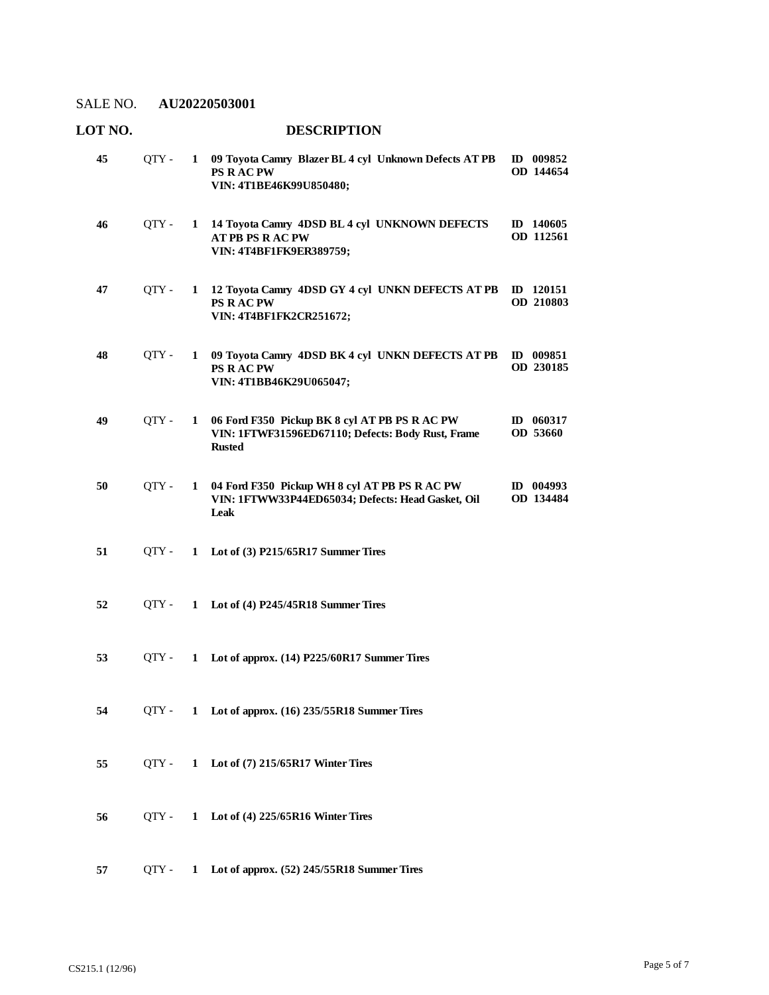| LOT NO. |       |              | <b>DESCRIPTION</b>                                                                                                  |                          |
|---------|-------|--------------|---------------------------------------------------------------------------------------------------------------------|--------------------------|
| 45      | QTY - | $\mathbf{1}$ | 09 Toyota Camry Blazer BL 4 cyl Unknown Defects AT PB<br>PS R AC PW<br>VIN: 4T1BE46K99U850480;                      | ID 009852<br>OD 144654   |
| 46      | QTY - | $\mathbf{1}$ | 14 Toyota Camry 4DSD BL 4 cyl UNKNOWN DEFECTS<br><b>AT PB PS RAC PW</b><br>VIN: 4T4BF1FK9ER389759;                  | ID 140605<br>OD 112561   |
| 47      | QTY-  | 1            | 12 Toyota Camry 4DSD GY 4 cyl UNKN DEFECTS AT PB<br>PS R AC PW<br>VIN: 4T4BF1FK2CR251672;                           | $ID$ 120151<br>OD 210803 |
| 48      | QTY - | $\mathbf{1}$ | 09 Toyota Camry 4DSD BK 4 cyl UNKN DEFECTS AT PB<br><b>PS RACPW</b><br>VIN: 4T1BB46K29U065047;                      | ID 009851<br>OD 230185   |
| 49      | QTY-  | $\mathbf{1}$ | 06 Ford F350 Pickup BK 8 cyl AT PB PS R AC PW<br>VIN: 1FTWF31596ED67110; Defects: Body Rust, Frame<br><b>Rusted</b> | ID 060317<br>OD 53660    |
| 50      | OTY - | $\mathbf{1}$ | 04 Ford F350 Pickup WH 8 cyl AT PB PS R AC PW<br>VIN: 1FTWW33P44ED65034; Defects: Head Gasket, Oil<br>Leak          | ID 004993<br>OD 134484   |
| 51      | OTY - |              | 1 Lot of (3) P215/65R17 Summer Tires                                                                                |                          |
| 52      | OTY - |              | 1 Lot of (4) P245/45R18 Summer Tires                                                                                |                          |
| 53      | OTY - | $\mathbf{1}$ | Lot of approx. (14) P225/60R17 Summer Tires                                                                         |                          |
| 54      | OTY - |              | 1 Lot of approx. (16) 235/55R18 Summer Tires                                                                        |                          |
| 55      | OTY - |              | 1 Lot of (7) 215/65R17 Winter Tires                                                                                 |                          |
| 56      | OTY - | $\mathbf{1}$ | Lot of (4) 225/65R16 Winter Tires                                                                                   |                          |
| 57      | OTY - | 1            | Lot of approx. (52) 245/55R18 Summer Tires                                                                          |                          |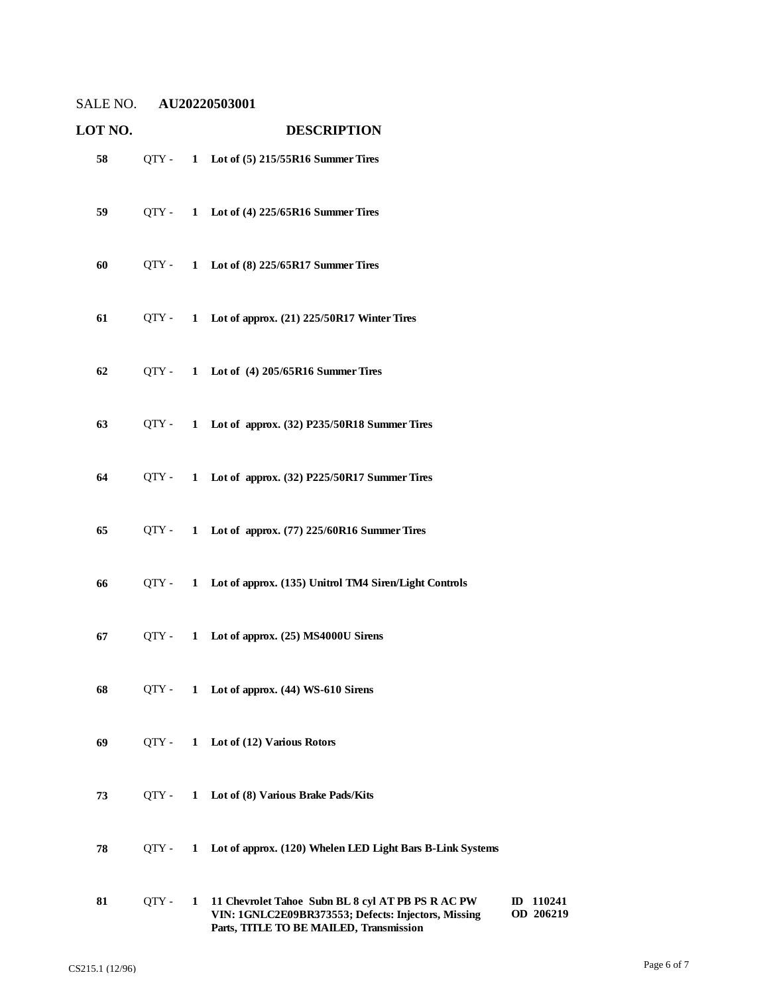| LOT NO. |         |   | <b>DESCRIPTION</b>                                                                                                                                  |                        |
|---------|---------|---|-----------------------------------------------------------------------------------------------------------------------------------------------------|------------------------|
| 58      | $QTY -$ |   | 1 Lot of (5) 215/55R16 Summer Tires                                                                                                                 |                        |
| 59      | OTY -   |   | 1 Lot of (4) 225/65R16 Summer Tires                                                                                                                 |                        |
| 60      | QTY -   |   | 1 Lot of (8) 225/65R17 Summer Tires                                                                                                                 |                        |
| 61      | QTY -   |   | 1 Lot of approx. (21) 225/50R17 Winter Tires                                                                                                        |                        |
| 62      | $QTY -$ |   | 1 Lot of (4) 205/65R16 Summer Tires                                                                                                                 |                        |
| 63      | $QTY -$ |   | 1 Lot of approx. (32) P235/50R18 Summer Tires                                                                                                       |                        |
| 64      | $QTY -$ |   | 1 Lot of approx. (32) P225/50R17 Summer Tires                                                                                                       |                        |
| 65      | OTY -   |   | 1 Lot of approx. (77) 225/60R16 Summer Tires                                                                                                        |                        |
| 66      | QTY -   |   | 1 Lot of approx. (135) Unitrol TM4 Siren/Light Controls                                                                                             |                        |
| 67      | $QTY -$ |   | 1 Lot of approx. (25) MS4000U Sirens                                                                                                                |                        |
| 68      | QTY -   |   | 1 Lot of approx. (44) WS-610 Sirens                                                                                                                 |                        |
| 69      | QTY -   |   | 1 Lot of (12) Various Rotors                                                                                                                        |                        |
| 73      | OTY -   | 1 | Lot of (8) Various Brake Pads/Kits                                                                                                                  |                        |
| 78      | QTY -   | 1 | Lot of approx. (120) Whelen LED Light Bars B-Link Systems                                                                                           |                        |
| 81      | QTY-    | 1 | 11 Chevrolet Tahoe Subn BL 8 cyl AT PB PS R AC PW<br>VIN: 1GNLC2E09BR373553; Defects: Injectors, Missing<br>Parts, TITLE TO BE MAILED, Transmission | ID 110241<br>OD 206219 |